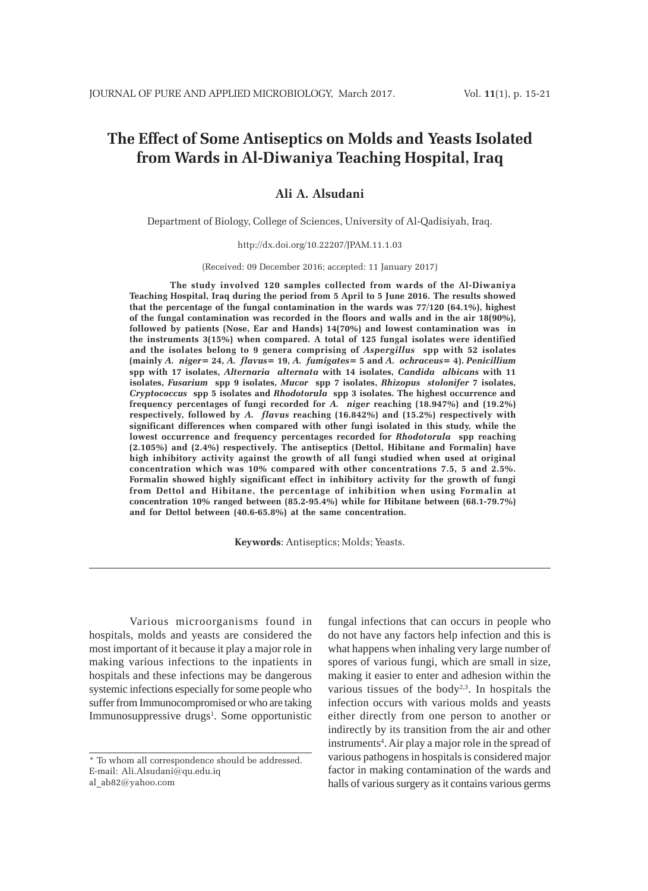# **The Effect of Some Antiseptics on Molds and Yeasts Isolated from Wards in Al-Diwaniya Teaching Hospital, Iraq**

# **Ali A. Alsudani**

Department of Biology, College of Sciences, University of Al-Qadisiyah, Iraq.

#### http://dx.doi.org/10.22207/JPAM.11.1.03

(Received: 09 December 2016; accepted: 11 January 2017)

**The study involved 120 samples collected from wards of the Al-Diwaniya Teaching Hospital, Iraq during the period from 5 April to 5 June 2016. The results showed that the percentage of the fungal contamination in the wards was 77/120 (64.1%), highest of the fungal contamination was recorded in the floors and walls and in the air 18(90%), followed by patients (Nose, Ear and Hands) 14(70%) and lowest contamination was in the instruments 3(15%) when compared. A total of 125 fungal isolates were identified and the isolates belong to 9 genera comprising of** *Aspergillus* **spp with 52 isolates (mainly** *A. niger=* **24,** *A. flavus***= 19,** *A. fumigates=* **5 and** *A. ochraceus***= 4).** *Penicillium* **spp with 17 isolates,** *Alternaria alternata* **with 14 isolates,** *Candida albicans* **with 11 isolates,** *Fusarium* **spp 9 isolates,** *Mucor* **spp 7 isolates,** *Rhizopus stolonifer* **7 isolates,** *Cryptococcus* **spp 5 isolates and** *Rhodotorula* **spp 3 isolates. The highest occurrence and frequency percentages of fungi recorded for** *A. niger* **reaching (18.947%) and (19.2%) respectively, followed by** *A. flavus* **reaching (16.842%) and (15.2%) respectively with significant differences when compared with other fungi isolated in this study, while the lowest occurrence and frequency percentages recorded for** *Rhodotorula* **spp reaching (2.105%) and (2.4%) respectively. The antiseptics (Dettol, Hibitane and Formalin) have high inhibitory activity against the growth of all fungi studied when used at original concentration which was 10% compared with other concentrations 7.5, 5 and 2.5%. Formalin showed highly significant effect in inhibitory activity for the growth of fungi from Dettol and Hibitane, the percentage of inhibition when using Formalin at concentration 10% ranged between (85.2-95.4%) while for Hibitane between (68.1-79.7%) and for Dettol between (40.6-65.8%) at the same concentration.**

**Keywords**: Antiseptics; Molds; Yeasts.

Various microorganisms found in hospitals, molds and yeasts are considered the most important of it because it play a major role in making various infections to the inpatients in hospitals and these infections may be dangerous systemic infections especially for some people who suffer from Immunocompromised or who are taking Immunosuppressive drugs<sup>1</sup>. Some opportunistic

al\_ab82@yahoo.com

fungal infections that can occurs in people who do not have any factors help infection and this is what happens when inhaling very large number of spores of various fungi, which are small in size, making it easier to enter and adhesion within the various tissues of the body<sup>2,3</sup>. In hospitals the infection occurs with various molds and yeasts either directly from one person to another or indirectly by its transition from the air and other instruments<sup>4</sup>. Air play a major role in the spread of various pathogens in hospitals is considered major factor in making contamination of the wards and halls of various surgery as it contains various germs

<sup>\*</sup> To whom all correspondence should be addressed. E-mail: Ali.Alsudani@qu.edu.iq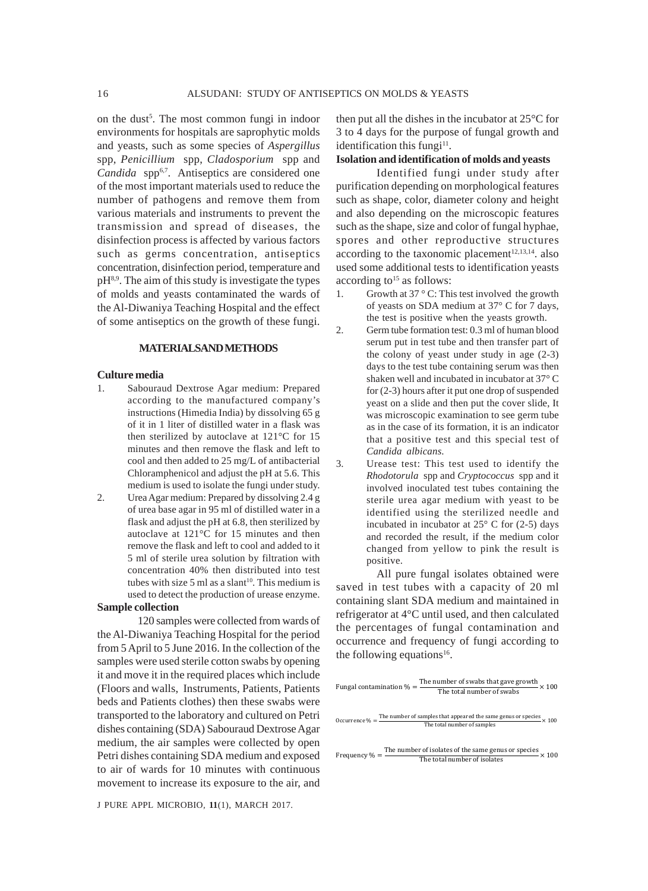on the dust<sup>5</sup>. The most common fungi in indoor environments for hospitals are saprophytic molds and yeasts, such as some species of *Aspergillus* spp, *Penicillium* spp, *Cladosporium* spp and Candida spp<sup>6,7</sup>. Antiseptics are considered one of the most important materials used to reduce the number of pathogens and remove them from various materials and instruments to prevent the transmission and spread of diseases, the disinfection process is affected by various factors such as germs concentration, antiseptics concentration, disinfection period, temperature and  $pH<sup>8,9</sup>$ . The aim of this study is investigate the types of molds and yeasts contaminated the wards of the Al-Diwaniya Teaching Hospital and the effect of some antiseptics on the growth of these fungi.

#### **MATERIALSAND METHODS**

#### **Culture media**

- 1. Sabouraud Dextrose Agar medium: Prepared according to the manufactured company's instructions (Himedia India) by dissolving 65 g of it in 1 liter of distilled water in a flask was then sterilized by autoclave at 121°C for 15 minutes and then remove the flask and left to cool and then added to 25 mg/L of antibacterial Chloramphenicol and adjust the pH at 5.6. This medium is used to isolate the fungi under study.
- 2. Urea Agar medium: Prepared by dissolving 2.4 g of urea base agar in 95 ml of distilled water in a flask and adjust the pH at 6.8, then sterilized by autoclave at 121°C for 15 minutes and then remove the flask and left to cool and added to it 5 ml of sterile urea solution by filtration with concentration 40% then distributed into test tubes with size  $5$  ml as a slant<sup>10</sup>. This medium is used to detect the production of urease enzyme.

# **Sample collection**

120 samples were collected from wards of the Al-Diwaniya Teaching Hospital for the period from 5 April to 5 June 2016. In the collection of the samples were used sterile cotton swabs by opening it and move it in the required places which include (Floors and walls, Instruments, Patients, Patients beds and Patients clothes) then these swabs were transported to the laboratory and cultured on Petri dishes containing (SDA) Sabouraud Dextrose Agar medium, the air samples were collected by open Petri dishes containing SDA medium and exposed to air of wards for 10 minutes with continuous movement to increase its exposure to the air, and

J PURE APPL MICROBIO*,* **11**(1), MARCH 2017.

then put all the dishes in the incubator at 25°C for 3 to 4 days for the purpose of fungal growth and identification this fungi $11$ .

#### **Isolation and identification of molds and yeasts**

Identified fungi under study after purification depending on morphological features such as shape, color, diameter colony and height and also depending on the microscopic features such as the shape, size and color of fungal hyphae, spores and other reproductive structures according to the taxonomic placement $12,13,14$ . also used some additional tests to identification yeasts according to<sup>15</sup> as follows:

- 1. Growth at  $37^{\circ}$  C: This test involved the growth of yeasts on SDA medium at 37° C for 7 days, the test is positive when the yeasts growth.
- 2. Germ tube formation test: 0.3 ml of human blood serum put in test tube and then transfer part of the colony of yeast under study in age (2-3) days to the test tube containing serum was then shaken well and incubated in incubator at 37° C for (2-3) hours after it put one drop of suspended yeast on a slide and then put the cover slide, It was microscopic examination to see germ tube as in the case of its formation, it is an indicator that a positive test and this special test of *Candida albicans*.
- 3. Urease test: This test used to identify the *Rhodotorula* spp and *Cryptococcus* spp and it involved inoculated test tubes containing the sterile urea agar medium with yeast to be identified using the sterilized needle and incubated in incubator at 25° C for (2-5) days and recorded the result, if the medium color changed from yellow to pink the result is positive.

All pure fungal isolates obtained were saved in test tubes with a capacity of 20 ml containing slant SDA medium and maintained in refrigerator at 4°C until used, and then calculated the percentages of fungal contamination and occurrence and frequency of fungi according to the following equations<sup>16</sup>.

| Fungal contamination $\% = \frac{\text{The number of swabs that gave growth}}{\text{The total number of swabs}} \times 100$                 |
|---------------------------------------------------------------------------------------------------------------------------------------------|
| Occurrence % = $\frac{\text{The number of samples that appeared the same genus or species}}{\text{The total number of samples}} \times 100$ |
| Frequency % = $\frac{\text{The number of isolates of the same genus or species}}{\text{The total number of isolates}} \times 100$           |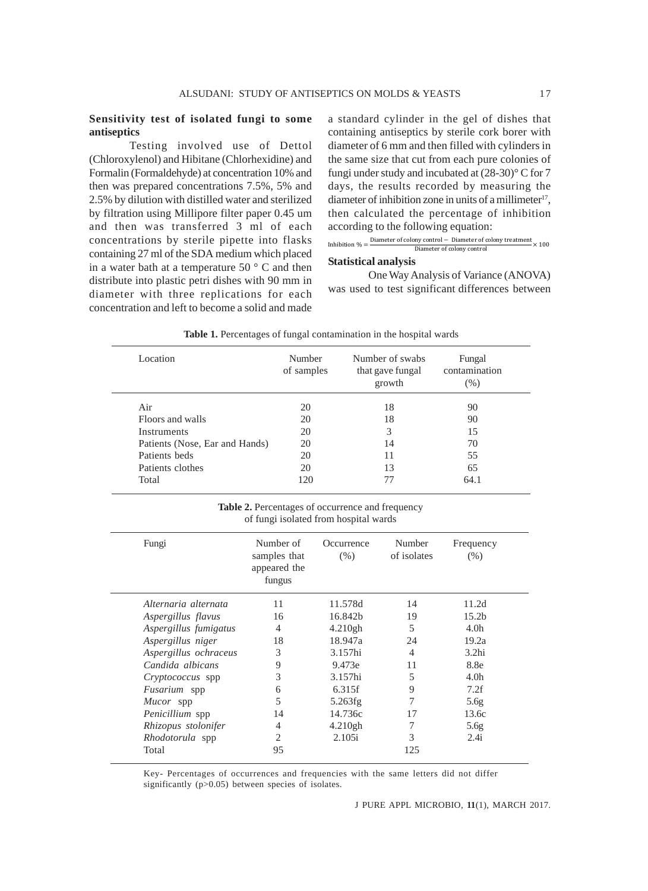### **Sensitivity test of isolated fungi to some antiseptics**

Testing involved use of Dettol (Chloroxylenol) and Hibitane (Chlorhexidine) and Formalin (Formaldehyde) at concentration 10% and then was prepared concentrations 7.5%, 5% and 2.5% by dilution with distilled water and sterilized by filtration using Millipore filter paper 0.45 um and then was transferred 3 ml of each concentrations by sterile pipette into flasks containing 27 ml of the SDA medium which placed in a water bath at a temperature 50 ° C and then distribute into plastic petri dishes with 90 mm in diameter with three replications for each concentration and left to become a solid and made

a standard cylinder in the gel of dishes that containing antiseptics by sterile cork borer with diameter of 6 mm and then filled with cylinders in the same size that cut from each pure colonies of fungi under study and incubated at (28-30)° C for 7 days, the results recorded by measuring the diameter of inhibition zone in units of a millimeter<sup>17</sup>, then calculated the percentage of inhibition according to the following equation:

Inhibition 
$$
\% = \frac{\text{Diameter of colony control} - \text{Diameter of colony treatment}}{\text{Diameter of colony control}} \times 100
$$

# **Statistical analysis**

One Way Analysis of Variance (ANOVA) was used to test significant differences between

| Location                       | Number<br>of samples | Number of swabs<br>that gave fungal<br>growth | Fungal<br>contamination<br>(% ) |
|--------------------------------|----------------------|-----------------------------------------------|---------------------------------|
| Air                            | 20                   | 18                                            | 90                              |
| Floors and walls               | 20                   | 18                                            | 90                              |
| <b>Instruments</b>             | 20                   | 3                                             | 15                              |
| Patients (Nose, Ear and Hands) | 20                   | 14                                            | 70                              |
| Patients beds                  | 20                   | 11                                            | 55                              |
| Patients clothes               | 20                   | 13                                            | 65                              |
| Total                          | 120                  |                                               | 64.1                            |

**Table 1.** Percentages of fungal contamination in the hospital wards

Table 2. Percentages of occurrence and frequency of fungi isolated from hospital wards

| Fungi                   | Number of<br>samples that<br>appeared the | Occurrence<br>$(\% )$ | Number<br>of isolates | Frequency<br>$(\% )$ |  |
|-------------------------|-------------------------------------------|-----------------------|-----------------------|----------------------|--|
|                         | fungus                                    |                       |                       |                      |  |
| Alternaria alternata    | 11                                        | 11.578d               | 14                    | 11.2d                |  |
| Aspergillus flavus      | 16                                        | 16.842b               | 19                    | 15.2 <sub>b</sub>    |  |
| Aspergillus fumigatus   | 4                                         | 4.210gh               | 5                     | 4.0 <sub>h</sub>     |  |
| Aspergillus niger       | 18                                        | 18.947a               | 24                    | 19.2a                |  |
| Aspergillus ochraceus   | 3                                         | 3.157hi               | 4                     | 3.2 <sub>hi</sub>    |  |
| Candida albicans        | 9                                         | 9.473e                | 11                    | 8.8e                 |  |
| <i>Cryptococcus</i> spp | 3                                         | 3.157hi               | 5                     | 4.0 <sub>h</sub>     |  |
| Fusarium spp            | 6                                         | 6.315f                | 9                     | 7.2f                 |  |
| Mucor spp               | 5                                         | 5.263fg               | 7                     | 5.6 <sub>g</sub>     |  |
| Penicillium spp         | 14                                        | 14.736c               | 17                    | 13.6c                |  |
| Rhizopus stolonifer     | 4                                         | 4.210gh               | 7                     | 5.6 <sub>g</sub>     |  |
| <i>Rhodotorula</i> spp  | $\mathcal{D}_{\mathcal{L}}$               | 2.105i                | 3                     | 2.4i                 |  |
| Total                   | 95                                        |                       | 125                   |                      |  |
|                         |                                           |                       |                       |                      |  |

Key- Percentages of occurrences and frequencies with the same letters did not differ significantly (p>0.05) between species of isolates.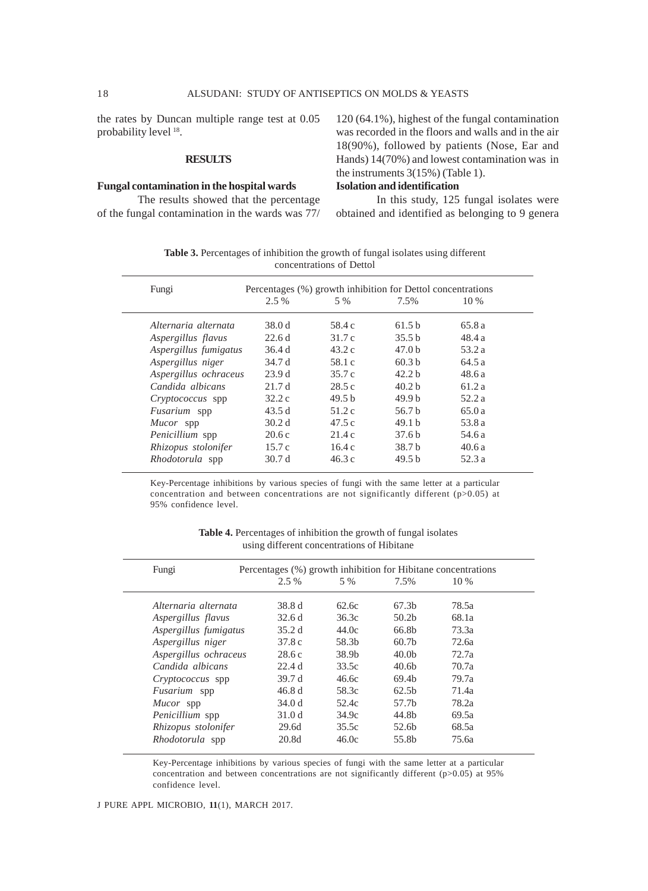the rates by Duncan multiple range test at 0.05 probability level 18.

#### **RESULTS**

# **Fungal contamination in the hospital wards**

The results showed that the percentage of the fungal contamination in the wards was 77/

120 (64.1%), highest of the fungal contamination was recorded in the floors and walls and in the air 18(90%), followed by patients (Nose, Ear and Hands) 14(70%) and lowest contamination was in the instruments 3(15%) (Table 1).

# **Isolation and identification**

In this study, 125 fungal isolates were obtained and identified as belonging to 9 genera

**Table 3.** Percentages of inhibition the growth of fungal isolates using different concentrations of Dettol

|                         | $2.5\%$           | 5 %               | 7.5%              | $10\%$ |
|-------------------------|-------------------|-------------------|-------------------|--------|
|                         |                   |                   |                   |        |
| Alternaria alternata    | 38.0 d            | 58.4 c            | 61.5 <sub>b</sub> | 65.8a  |
| Aspergillus flavus      | 22.6d             | 31.7c             | 35.5 <sub>b</sub> | 48.4a  |
| Aspergillus fumigatus   | 36.4 d            | 43.2c             | 47.0 <sub>b</sub> | 53.2 a |
| Aspergillus niger       | 34.7 d            | 58.1 c            | 60.3 <sub>b</sub> | 64.5a  |
| Aspergillus ochraceus   | 23.9d             | 35.7c             | 42.2 <sub>b</sub> | 48.6a  |
| Candida albicans        | 21.7d             | 28.5c             | 40.2 <sub>b</sub> | 61.2a  |
| <i>Cryptococcus</i> spp | 32.2c             | 49.5 <sub>b</sub> | 49.9 <sub>b</sub> | 52.2 a |
| Fusarium spp            | 43.5d             | 51.2c             | 56.7 b            | 65.0a  |
| Mucor spp               | 30.2 <sub>d</sub> | 47.5c             | 49.1 <sub>b</sub> | 53.8 a |
| Penicillium spp         | 20.6c             | 21.4c             | 37.6 <sub>b</sub> | 54.6 a |
| Rhizopus stolonifer     | 15.7c             | 16.4c             | 38.7 b            | 40.6a  |
| <i>Rhodotorula</i> spp  | 30.7d             | 46.3c             | 49.5 <sub>b</sub> | 52.3 a |

Key-Percentage inhibitions by various species of fungi with the same letter at a particular concentration and between concentrations are not significantly different (p>0.05) at 95% confidence level.

|  | <b>Table 4.</b> Percentages of inhibition the growth of fungal isolates |  |  |
|--|-------------------------------------------------------------------------|--|--|
|  | using different concentrations of Hibitane                              |  |  |

| Fungi                  | Percentages (%) growth inhibition for Hibitane concentrations |                   |                   |        |
|------------------------|---------------------------------------------------------------|-------------------|-------------------|--------|
|                        | 2.5 %                                                         | 5 %               | 7.5%              | $10\%$ |
| Alternaria alternata   | 38.8 d                                                        | 62.6c             | 67.3b             | 78.5a  |
| Aspergillus flavus     | 32.6d                                                         | 36.3c             | 50.2 <sub>b</sub> | 68.1a  |
| Aspergillus fumigatus  | 35.2d                                                         | 44.0c             | 66.8b             | 73.3a  |
| Aspergillus niger      | 37.8c                                                         | 58.3b             | 60.7 <sub>b</sub> | 72.6a  |
| Aspergillus ochraceus  | 28.6c                                                         | 38.9 <sub>b</sub> | 40.0 <sub>b</sub> | 72.7a  |
| Candida albicans       | 22.4d                                                         | 33.5c             | 40.6 <sub>b</sub> | 70.7a  |
| Cryptococcus spp       | 39.7 d                                                        | 46.6c             | 69.4 <sub>b</sub> | 79.7a  |
| <i>Fusarium</i> spp    | 46.8d                                                         | 58.3c             | 62.5 <sub>b</sub> | 71.4a  |
| Mucor spp              | 34.0 d                                                        | 52.4c             | 57.7b             | 78.2a  |
| <i>Penicillium</i> spp | 31.0 <sub>d</sub>                                             | 34.9c             | 44.8b             | 69.5a  |
| Rhizopus stolonifer    | 29.6d                                                         | 35.5c             | 52.6b             | 68.5a  |
| Rhodotorula spp        | 20.8d                                                         | 46.0c             | 55.8b             | 75.6a  |

Key-Percentage inhibitions by various species of fungi with the same letter at a particular concentration and between concentrations are not significantly different (p>0.05) at 95% confidence level.

J PURE APPL MICROBIO*,* **11**(1), MARCH 2017.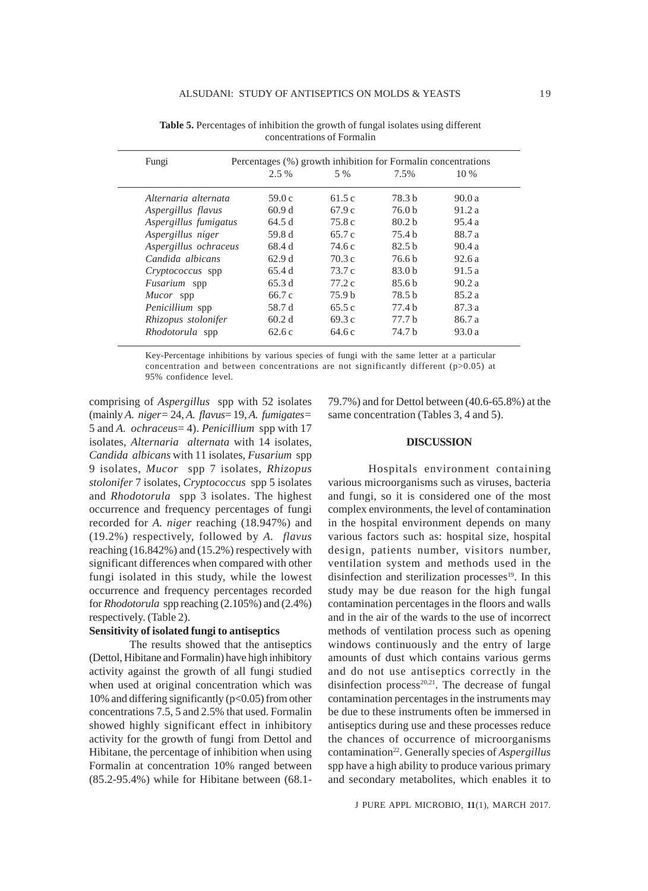| Fungi                   | $2.5\%$ | Percentages (%) growth inhibition for Formalin concentrations<br>5 % | 7.5%              | $10\%$ |
|-------------------------|---------|----------------------------------------------------------------------|-------------------|--------|
|                         |         |                                                                      |                   |        |
| Alternaria alternata    | 59.0c   | 61.5 c                                                               | 78.3 b            | 90.0a  |
| Aspergillus flavus      | 60.9d   | 67.9c                                                                | 76.0 b            | 91.2a  |
| Aspergillus fumigatus   | 64.5 d  | 75.8 c                                                               | 80.2 <sub>b</sub> | 95.4a  |
| Aspergillus niger       | 59.8 d  | 65.7 c                                                               | 75.4 <sub>b</sub> | 88.7 a |
| Aspergillus ochraceus   | 68.4 d  | 74.6 c                                                               | 82.5 <sub>b</sub> | 90.4a  |
| Candida albicans        | 62.9d   | 70.3 c                                                               | 76.6 b            | 92.6a  |
| <i>Cryptococcus</i> spp | 65.4 d  | 73.7 c                                                               | 83.0 <sub>b</sub> | 91.5a  |
| <i>Fusarium</i> spp     | 65.3d   | 77.2c                                                                | 85.6 <sub>b</sub> | 90.2 a |
| Mucor spp               | 66.7 c  | 75.9 <sub>b</sub>                                                    | 78.5 b            | 85.2a  |
| Penicillium spp         | 58.7 d  | 65.5c                                                                | 77.4 b            | 87.3 a |
| Rhizopus stolonifer     | 60.2d   | 69.3 c                                                               | 77.7 <sub>b</sub> | 86.7 a |
| Rhodotorula spp         | 62.6c   | 64.6 c                                                               | 74.7 b            | 93.0 a |

**Table 5.** Percentages of inhibition the growth of fungal isolates using different concentrations of Formalin

Key-Percentage inhibitions by various species of fungi with the same letter at a particular concentration and between concentrations are not significantly different (p>0.05) at 95% confidence level.

comprising of *Aspergillus* spp with 52 isolates (mainly *A. niger=* 24, *A. flavus*= 19, *A. fumigates=* 5 and *A. ochraceus*= 4). *Penicillium* spp with 17 isolates, *Alternaria alternata* with 14 isolates, *Candida albicans* with 11 isolates, *Fusarium* spp 9 isolates, *Mucor* spp 7 isolates, *Rhizopus stolonifer* 7 isolates, *Cryptococcus* spp 5 isolates and *Rhodotorula* spp 3 isolates. The highest occurrence and frequency percentages of fungi recorded for *A. niger* reaching (18.947%) and (19.2%) respectively, followed by *A. flavus* reaching (16.842%) and (15.2%) respectively with significant differences when compared with other fungi isolated in this study, while the lowest occurrence and frequency percentages recorded for *Rhodotorula* spp reaching (2.105%) and (2.4%) respectively. (Table 2).

# **Sensitivity of isolated fungi to antiseptics**

The results showed that the antiseptics (Dettol, Hibitane and Formalin) have high inhibitory activity against the growth of all fungi studied when used at original concentration which was 10% and differing significantly (p<0.05) from other concentrations 7.5, 5 and 2.5% that used. Formalin showed highly significant effect in inhibitory activity for the growth of fungi from Dettol and Hibitane, the percentage of inhibition when using Formalin at concentration 10% ranged between (85.2-95.4%) while for Hibitane between (68.179.7%) and for Dettol between (40.6-65.8%) at the same concentration (Tables 3, 4 and 5).

#### **DISCUSSION**

Hospitals environment containing various microorganisms such as viruses, bacteria and fungi, so it is considered one of the most complex environments, the level of contamination in the hospital environment depends on many various factors such as: hospital size, hospital design, patients number, visitors number, ventilation system and methods used in the disinfection and sterilization processes $19$ . In this study may be due reason for the high fungal contamination percentages in the floors and walls and in the air of the wards to the use of incorrect methods of ventilation process such as opening windows continuously and the entry of large amounts of dust which contains various germs and do not use antiseptics correctly in the disinfection process $20,21$ . The decrease of fungal contamination percentages in the instruments may be due to these instruments often be immersed in antiseptics during use and these processes reduce the chances of occurrence of microorganisms contamination<sup>22</sup>. Generally species of *Aspergillus* spp have a high ability to produce various primary and secondary metabolites, which enables it to

J PURE APPL MICROBIO*,* **11**(1), MARCH 2017.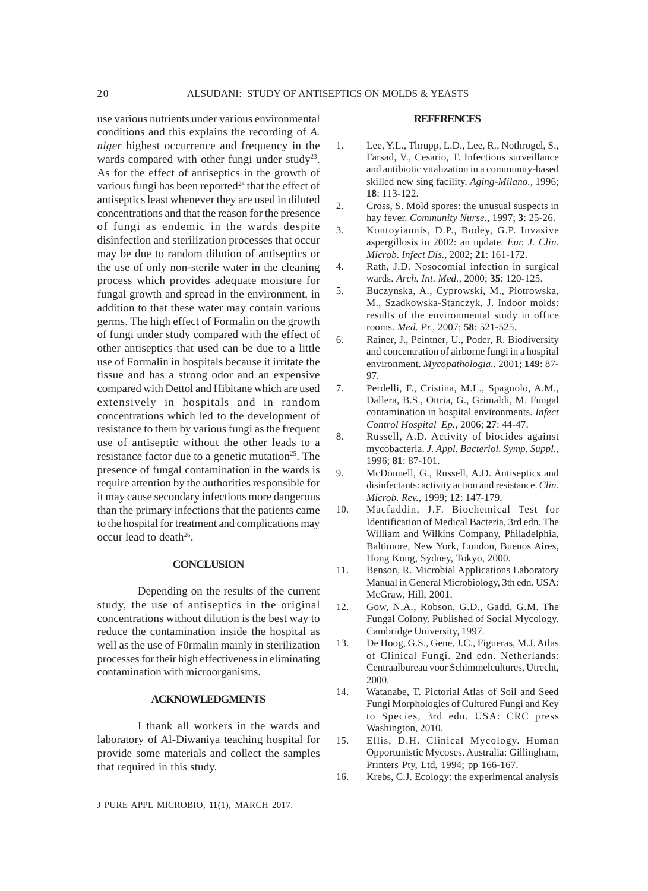conditions and this explains the recording of *A. niger* highest occurrence and frequency in the wards compared with other fungi under study<sup>23</sup>. As for the effect of antiseptics in the growth of various fungi has been reported<sup>24</sup> that the effect of antiseptics least whenever they are used in diluted concentrations and that the reason for the presence of fungi as endemic in the wards despite disinfection and sterilization processes that occur may be due to random dilution of antiseptics or the use of only non-sterile water in the cleaning process which provides adequate moisture for fungal growth and spread in the environment, in addition to that these water may contain various germs. The high effect of Formalin on the growth of fungi under study compared with the effect of other antiseptics that used can be due to a little use of Formalin in hospitals because it irritate the tissue and has a strong odor and an expensive compared with Dettol and Hibitane which are used extensively in hospitals and in random concentrations which led to the development of resistance to them by various fungi as the frequent use of antiseptic without the other leads to a resistance factor due to a genetic mutation<sup>25</sup>. The presence of fungal contamination in the wards is require attention by the authorities responsible for it may cause secondary infections more dangerous than the primary infections that the patients came to the hospital for treatment and complications may occur lead to death<sup>26</sup>.

### **CONCLUSION**

Depending on the results of the current study, the use of antiseptics in the original concentrations without dilution is the best way to reduce the contamination inside the hospital as well as the use of F0rmalin mainly in sterilization processes for their high effectiveness in eliminating contamination with microorganisms.

### **ACKNOWLEDGMENTS**

I thank all workers in the wards and laboratory of Al-Diwaniya teaching hospital for provide some materials and collect the samples that required in this study.

#### **REFERENCES**

- 1. Lee, Y.L., Thrupp, L.D., Lee, R., Nothrogel, S., Farsad, V., Cesario, T. Infections surveillance and antibiotic vitalization in a community-based skilled new sing facility. *Aging-Milano.,* 1996; **18**: 113-122.
- 2. Cross, S. Mold spores: the unusual suspects in hay fever. *Community Nurse.,* 1997; **3**: 25-26.
- 3. Kontoyiannis, D.P., Bodey, G.P. Invasive aspergillosis in 2002: an update*. Eur. J. Clin. Microb. Infect Dis.,* 2002; **21**: 161-172.
- 4. Rath, J.D. Nosocomial infection in surgical wards. *Arch. Int. Med.,* 2000; **35**: 120-125.
- 5. Buczynska, A., Cyprowski, M., Piotrowska, M., Szadkowska-Stanczyk, J. Indoor molds: results of the environmental study in office rooms. *Med. Pr.,* 2007; **58**: 521-525.
- 6. Rainer, J., Peintner, U., Poder, R. Biodiversity and concentration of airborne fungi in a hospital environment. *Mycopathologia.,* 2001; **149**: 87- 97.
- 7. Perdelli, F., Cristina, M.L., Spagnolo, A.M., Dallera, B.S., Ottria, G., Grimaldi, M. Fungal contamination in hospital environments. *Infect Control Hospital Ep.,* 2006; **27**: 44-47.
- 8. Russell, A.D. Activity of biocides against mycobacteria. *J. Appl. Bacteriol. Symp. Suppl.,* 1996; **81**: 87-101.
- 9. McDonnell, G., Russell, A.D. Antiseptics and disinfectants: activity action and resistance. *Clin. Microb. Rev.,* 1999; **12**: 147-179.
- 10. Macfaddin, J.F. Biochemical Test for Identification of Medical Bacteria, 3rd edn. The William and Wilkins Company, Philadelphia, Baltimore, New York, London, Buenos Aires, Hong Kong, Sydney, Tokyo, 2000.
- 11. Benson, R. Microbial Applications Laboratory Manual in General Microbiology, 3th edn. USA: McGraw, Hill, 2001.
- 12. Gow, N.A., Robson, G.D., Gadd, G.M. The Fungal Colony. Published of Social Mycology. Cambridge University, 1997.
- 13. De Hoog, G.S., Gene, J.C., Figueras, M.J. Atlas of Clinical Fungi. 2nd edn. Netherlands: Centraalbureau voor Schimmelcultures, Utrecht, 2000.
- 14. Watanabe, T. Pictorial Atlas of Soil and Seed Fungi Morphologies of Cultured Fungi and Key to Species, 3rd edn. USA: CRC press Washington, 2010.
- 15. Ellis, D.H. Clinical Mycology. Human Opportunistic Mycoses. Australia: Gillingham, Printers Pty, Ltd, 1994; pp 166-167.
- 16. Krebs, C.J. Ecology: the experimental analysis

J PURE APPL MICROBIO*,* **11**(1), MARCH 2017.